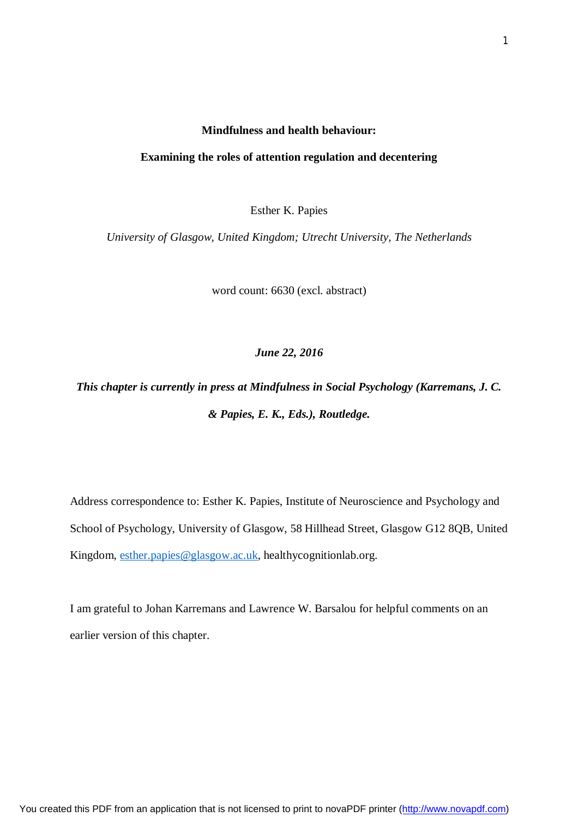## **Mindfulness and health behaviour:**

# **Examining the roles of attention regulation and decentering**

Esther K. Papies

*University of Glasgow, United Kingdom; Utrecht University, The Netherlands*

word count: 6630 (excl. abstract)

*June 22, 2016*

*This chapter is currently in press at Mindfulness in Social Psychology (Karremans, J. C. & Papies, E. K., Eds.), Routledge.*

Address correspondence to: Esther K. Papies, Institute of Neuroscience and Psychology and School of Psychology, University of Glasgow, 58 Hillhead Street, Glasgow G12 8QB, United Kingdom, [esther.papies@glasgow.ac.uk,](mailto:esther.papies@glasgow.ac.uk,) healthycognitionlab.org.

I am grateful to Johan Karremans and Lawrence W. Barsalou for helpful comments on an earlier version of this chapter.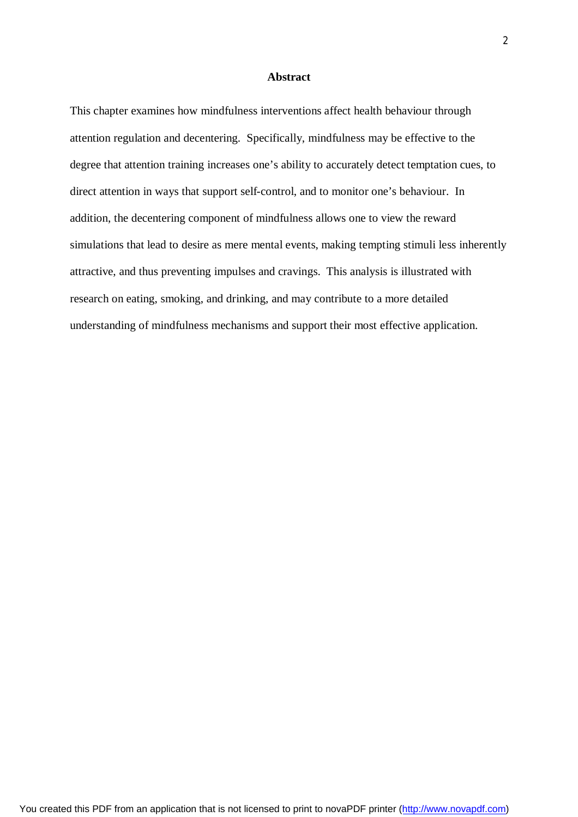## **Abstract**

This chapter examines how mindfulness interventions affect health behaviour through attention regulation and decentering. Specifically, mindfulness may be effective to the degree that attention training increases one's ability to accurately detect temptation cues, to direct attention in ways that support self-control, and to monitor one's behaviour. In addition, the decentering component of mindfulness allows one to view the reward simulations that lead to desire as mere mental events, making tempting stimuli less inherently attractive, and thus preventing impulses and cravings. This analysis is illustrated with research on eating, smoking, and drinking, and may contribute to a more detailed understanding of mindfulness mechanisms and support their most effective application.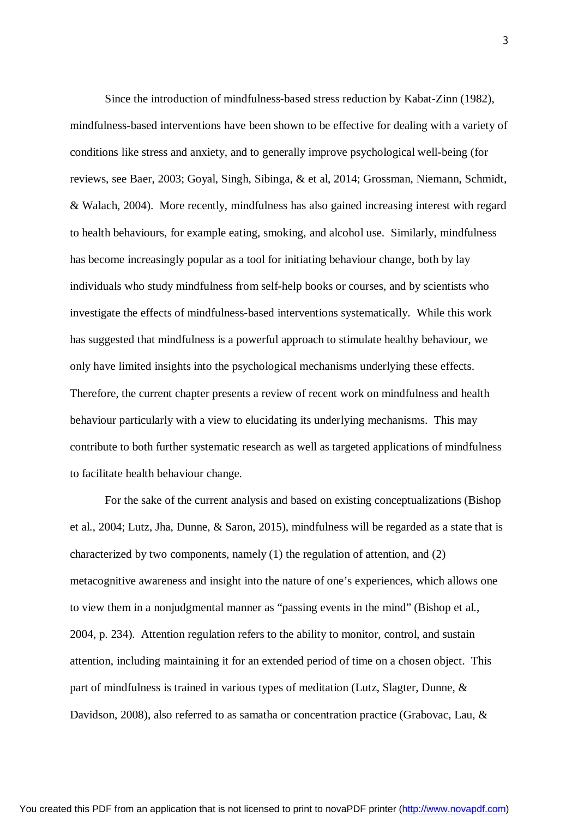Since the introduction of mindfulness-based stress reduction by Kabat-Zinn (1982), mindfulness-based interventions have been shown to be effective for dealing with a variety of conditions like stress and anxiety, and to generally improve psychological well-being (for reviews, see Baer, 2003; Goyal, Singh, Sibinga, & et al, 2014; Grossman, Niemann, Schmidt, & Walach, 2004). More recently, mindfulness has also gained increasing interest with regard to health behaviours, for example eating, smoking, and alcohol use. Similarly, mindfulness has become increasingly popular as a tool for initiating behaviour change, both by lay individuals who study mindfulness from self-help books or courses, and by scientists who investigate the effects of mindfulness-based interventions systematically. While this work has suggested that mindfulness is a powerful approach to stimulate healthy behaviour, we only have limited insights into the psychological mechanisms underlying these effects. Therefore, the current chapter presents a review of recent work on mindfulness and health behaviour particularly with a view to elucidating its underlying mechanisms. This may contribute to both further systematic research as well as targeted applications of mindfulness to facilitate health behaviour change.

For the sake of the current analysis and based on existing conceptualizations (Bishop et al., 2004; Lutz, Jha, Dunne, & Saron, 2015), mindfulness will be regarded as a state that is characterized by two components, namely (1) the regulation of attention, and (2) metacognitive awareness and insight into the nature of one's experiences, which allows one to view them in a nonjudgmental manner as "passing events in the mind" (Bishop et al., 2004, p. 234). Attention regulation refers to the ability to monitor, control, and sustain attention, including maintaining it for an extended period of time on a chosen object. This part of mindfulness is trained in various types of meditation (Lutz, Slagter, Dunne, & Davidson, 2008), also referred to as samatha or concentration practice (Grabovac, Lau, &

3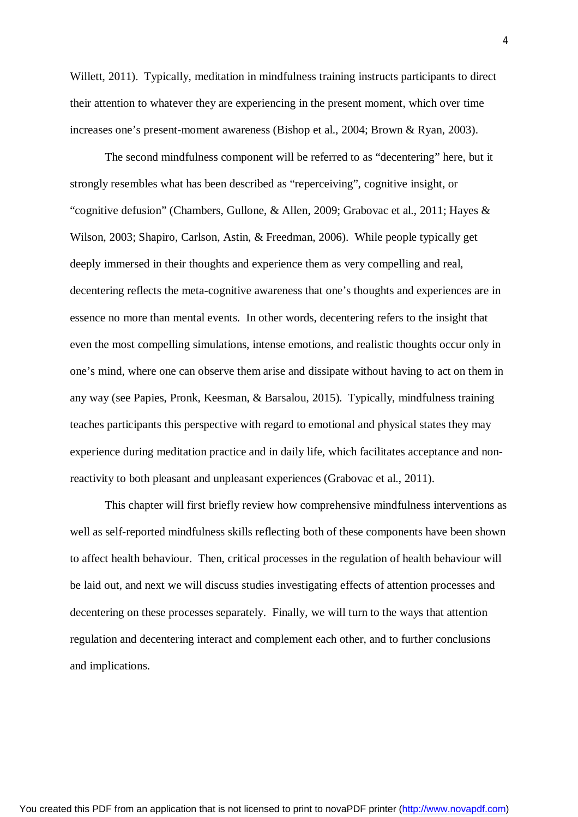Willett, 2011). Typically, meditation in mindfulness training instructs participants to direct their attention to whatever they are experiencing in the present moment, which over time increases one's present-moment awareness (Bishop et al., 2004; Brown & Ryan, 2003).

The second mindfulness component will be referred to as "decentering" here, but it strongly resembles what has been described as "reperceiving", cognitive insight, or "cognitive defusion" (Chambers, Gullone, & Allen, 2009; Grabovac et al., 2011; Hayes & Wilson, 2003; Shapiro, Carlson, Astin, & Freedman, 2006). While people typically get deeply immersed in their thoughts and experience them as very compelling and real, decentering reflects the meta-cognitive awareness that one's thoughts and experiences are in essence no more than mental events. In other words, decentering refers to the insight that even the most compelling simulations, intense emotions, and realistic thoughts occur only in one's mind, where one can observe them arise and dissipate without having to act on them in any way (see Papies, Pronk, Keesman, & Barsalou, 2015). Typically, mindfulness training teaches participants this perspective with regard to emotional and physical states they may experience during meditation practice and in daily life, which facilitates acceptance and nonreactivity to both pleasant and unpleasant experiences (Grabovac et al., 2011).

This chapter will first briefly review how comprehensive mindfulness interventions as well as self-reported mindfulness skills reflecting both of these components have been shown to affect health behaviour. Then, critical processes in the regulation of health behaviour will be laid out, and next we will discuss studies investigating effects of attention processes and decentering on these processes separately. Finally, we will turn to the ways that attention regulation and decentering interact and complement each other, and to further conclusions and implications.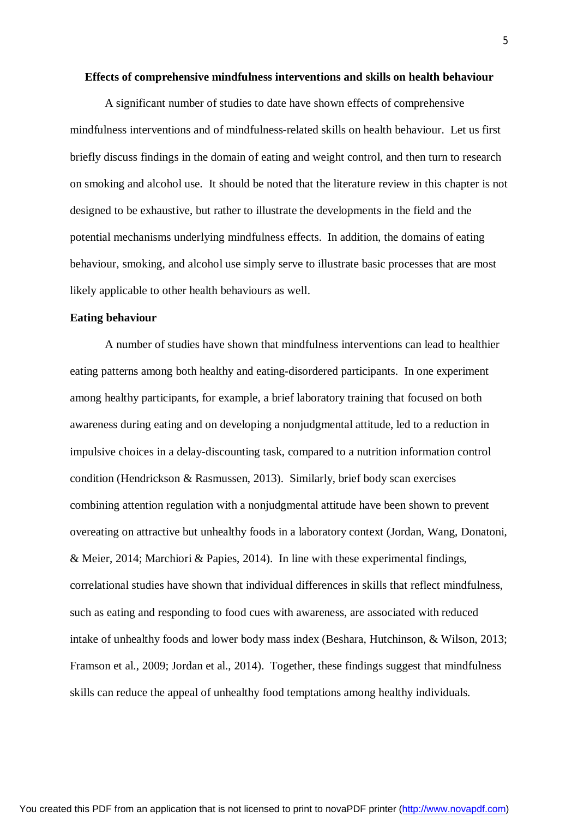### **Effects of comprehensive mindfulness interventions and skills on health behaviour**

A significant number of studies to date have shown effects of comprehensive mindfulness interventions and of mindfulness-related skills on health behaviour. Let us first briefly discuss findings in the domain of eating and weight control, and then turn to research on smoking and alcohol use. It should be noted that the literature review in this chapter is not designed to be exhaustive, but rather to illustrate the developments in the field and the potential mechanisms underlying mindfulness effects. In addition, the domains of eating behaviour, smoking, and alcohol use simply serve to illustrate basic processes that are most likely applicable to other health behaviours as well.

## **Eating behaviour**

A number of studies have shown that mindfulness interventions can lead to healthier eating patterns among both healthy and eating-disordered participants. In one experiment among healthy participants, for example, a brief laboratory training that focused on both awareness during eating and on developing a nonjudgmental attitude, led to a reduction in impulsive choices in a delay-discounting task, compared to a nutrition information control condition (Hendrickson & Rasmussen, 2013). Similarly, brief body scan exercises combining attention regulation with a nonjudgmental attitude have been shown to prevent overeating on attractive but unhealthy foods in a laboratory context (Jordan, Wang, Donatoni, & Meier, 2014; Marchiori & Papies, 2014). In line with these experimental findings, correlational studies have shown that individual differences in skills that reflect mindfulness, such as eating and responding to food cues with awareness, are associated with reduced intake of unhealthy foods and lower body mass index (Beshara, Hutchinson, & Wilson, 2013; Framson et al., 2009; Jordan et al., 2014). Together, these findings suggest that mindfulness skills can reduce the appeal of unhealthy food temptations among healthy individuals.

5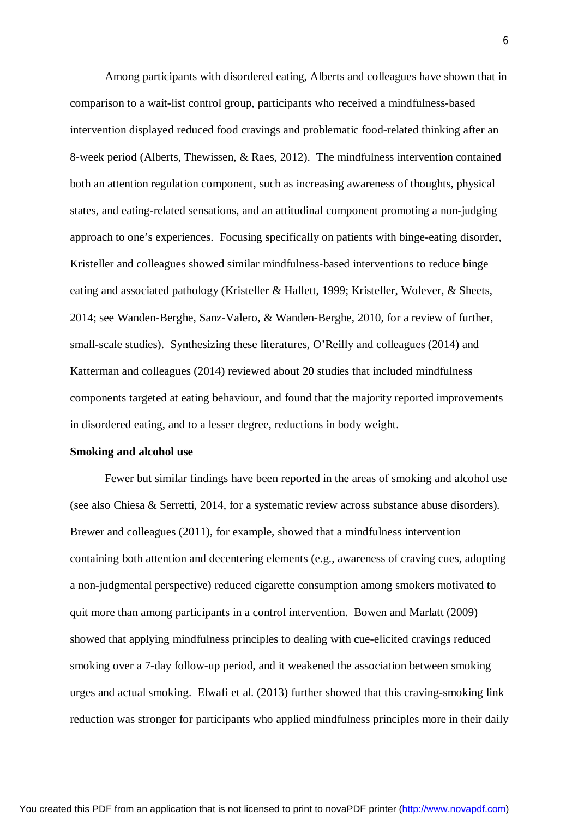Among participants with disordered eating, Alberts and colleagues have shown that in comparison to a wait-list control group, participants who received a mindfulness-based intervention displayed reduced food cravings and problematic food-related thinking after an 8-week period (Alberts, Thewissen, & Raes, 2012). The mindfulness intervention contained both an attention regulation component, such as increasing awareness of thoughts, physical states, and eating-related sensations, and an attitudinal component promoting a non-judging approach to one's experiences. Focusing specifically on patients with binge-eating disorder, Kristeller and colleagues showed similar mindfulness-based interventions to reduce binge eating and associated pathology (Kristeller & Hallett, 1999; Kristeller, Wolever, & Sheets, 2014; see Wanden-Berghe, Sanz-Valero, & Wanden-Berghe, 2010, for a review of further, small-scale studies). Synthesizing these literatures, O'Reilly and colleagues (2014) and Katterman and colleagues (2014) reviewed about 20 studies that included mindfulness components targeted at eating behaviour, and found that the majority reported improvements in disordered eating, and to a lesser degree, reductions in body weight.

## **Smoking and alcohol use**

Fewer but similar findings have been reported in the areas of smoking and alcohol use (see also Chiesa & Serretti, 2014, for a systematic review across substance abuse disorders). Brewer and colleagues (2011), for example, showed that a mindfulness intervention containing both attention and decentering elements (e.g., awareness of craving cues, adopting a non-judgmental perspective) reduced cigarette consumption among smokers motivated to quit more than among participants in a control intervention. Bowen and Marlatt (2009) showed that applying mindfulness principles to dealing with cue-elicited cravings reduced smoking over a 7-day follow-up period, and it weakened the association between smoking urges and actual smoking. Elwafi et al. (2013) further showed that this craving-smoking link reduction was stronger for participants who applied mindfulness principles more in their daily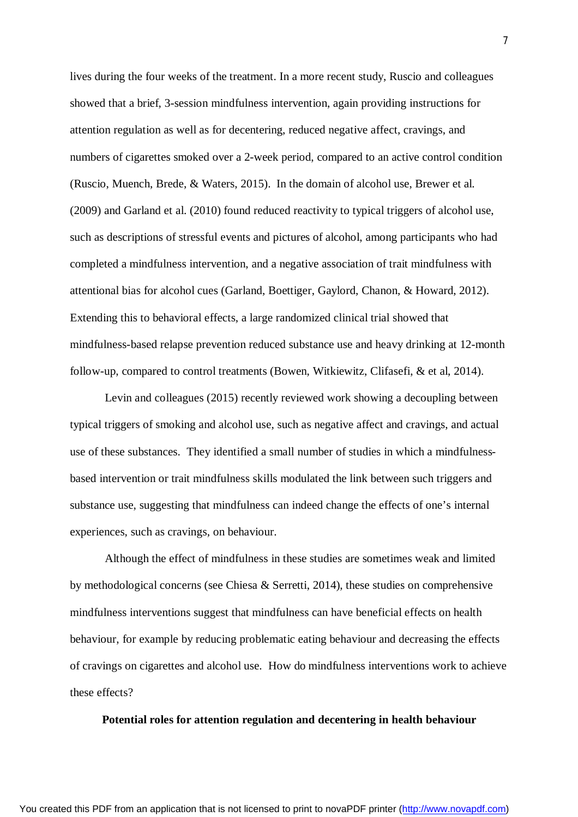lives during the four weeks of the treatment. In a more recent study, Ruscio and colleagues showed that a brief, 3-session mindfulness intervention, again providing instructions for attention regulation as well as for decentering, reduced negative affect, cravings, and numbers of cigarettes smoked over a 2-week period, compared to an active control condition (Ruscio, Muench, Brede, & Waters, 2015). In the domain of alcohol use, Brewer et al. (2009) and Garland et al. (2010) found reduced reactivity to typical triggers of alcohol use, such as descriptions of stressful events and pictures of alcohol, among participants who had completed a mindfulness intervention, and a negative association of trait mindfulness with attentional bias for alcohol cues (Garland, Boettiger, Gaylord, Chanon, & Howard, 2012). Extending this to behavioral effects, a large randomized clinical trial showed that mindfulness-based relapse prevention reduced substance use and heavy drinking at 12-month follow-up, compared to control treatments (Bowen, Witkiewitz, Clifasefi, & et al, 2014).

Levin and colleagues (2015) recently reviewed work showing a decoupling between typical triggers of smoking and alcohol use, such as negative affect and cravings, and actual use of these substances. They identified a small number of studies in which a mindfulnessbased intervention or trait mindfulness skills modulated the link between such triggers and substance use, suggesting that mindfulness can indeed change the effects of one's internal experiences, such as cravings, on behaviour.

Although the effect of mindfulness in these studies are sometimes weak and limited by methodological concerns (see Chiesa & Serretti, 2014), these studies on comprehensive mindfulness interventions suggest that mindfulness can have beneficial effects on health behaviour, for example by reducing problematic eating behaviour and decreasing the effects of cravings on cigarettes and alcohol use. How do mindfulness interventions work to achieve these effects?

## **Potential roles for attention regulation and decentering in health behaviour**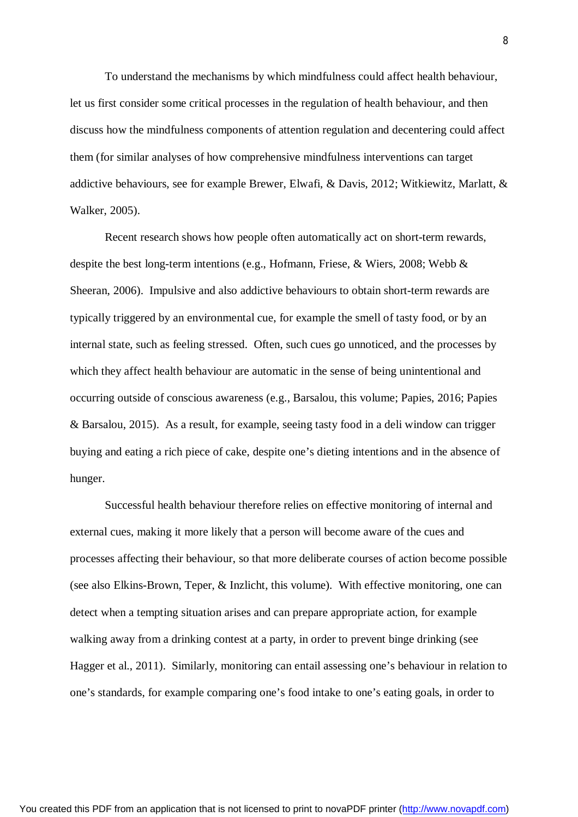To understand the mechanisms by which mindfulness could affect health behaviour, let us first consider some critical processes in the regulation of health behaviour, and then discuss how the mindfulness components of attention regulation and decentering could affect them (for similar analyses of how comprehensive mindfulness interventions can target addictive behaviours, see for example Brewer, Elwafi, & Davis, 2012; Witkiewitz, Marlatt, & Walker, 2005).

Recent research shows how people often automatically act on short-term rewards, despite the best long-term intentions (e.g., Hofmann, Friese, & Wiers, 2008; Webb & Sheeran, 2006). Impulsive and also addictive behaviours to obtain short-term rewards are typically triggered by an environmental cue, for example the smell of tasty food, or by an internal state, such as feeling stressed. Often, such cues go unnoticed, and the processes by which they affect health behaviour are automatic in the sense of being unintentional and occurring outside of conscious awareness (e.g., Barsalou, this volume; Papies, 2016; Papies & Barsalou, 2015). As a result, for example, seeing tasty food in a deli window can trigger buying and eating a rich piece of cake, despite one's dieting intentions and in the absence of hunger.

Successful health behaviour therefore relies on effective monitoring of internal and external cues, making it more likely that a person will become aware of the cues and processes affecting their behaviour, so that more deliberate courses of action become possible (see also Elkins-Brown, Teper, & Inzlicht, this volume). With effective monitoring, one can detect when a tempting situation arises and can prepare appropriate action, for example walking away from a drinking contest at a party, in order to prevent binge drinking (see Hagger et al., 2011). Similarly, monitoring can entail assessing one's behaviour in relation to one's standards, for example comparing one's food intake to one's eating goals, in order to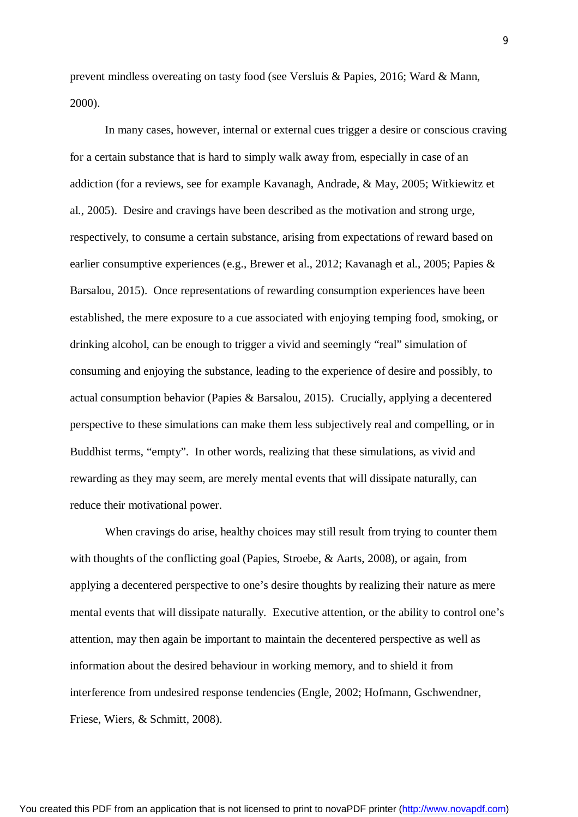prevent mindless overeating on tasty food (see Versluis & Papies, 2016; Ward & Mann, 2000).

In many cases, however, internal or external cues trigger a desire or conscious craving for a certain substance that is hard to simply walk away from, especially in case of an addiction (for a reviews, see for example Kavanagh, Andrade, & May, 2005; Witkiewitz et al., 2005). Desire and cravings have been described as the motivation and strong urge, respectively, to consume a certain substance, arising from expectations of reward based on earlier consumptive experiences (e.g., Brewer et al., 2012; Kavanagh et al., 2005; Papies & Barsalou, 2015). Once representations of rewarding consumption experiences have been established, the mere exposure to a cue associated with enjoying temping food, smoking, or drinking alcohol, can be enough to trigger a vivid and seemingly "real" simulation of consuming and enjoying the substance, leading to the experience of desire and possibly, to actual consumption behavior (Papies & Barsalou, 2015). Crucially, applying a decentered perspective to these simulations can make them less subjectively real and compelling, or in Buddhist terms, "empty". In other words, realizing that these simulations, as vivid and rewarding as they may seem, are merely mental events that will dissipate naturally, can reduce their motivational power.

When cravings do arise, healthy choices may still result from trying to counter them with thoughts of the conflicting goal (Papies, Stroebe, & Aarts, 2008), or again, from applying a decentered perspective to one's desire thoughts by realizing their nature as mere mental events that will dissipate naturally. Executive attention, or the ability to control one's attention, may then again be important to maintain the decentered perspective as well as information about the desired behaviour in working memory, and to shield it from interference from undesired response tendencies (Engle, 2002; Hofmann, Gschwendner, Friese, Wiers, & Schmitt, 2008).

9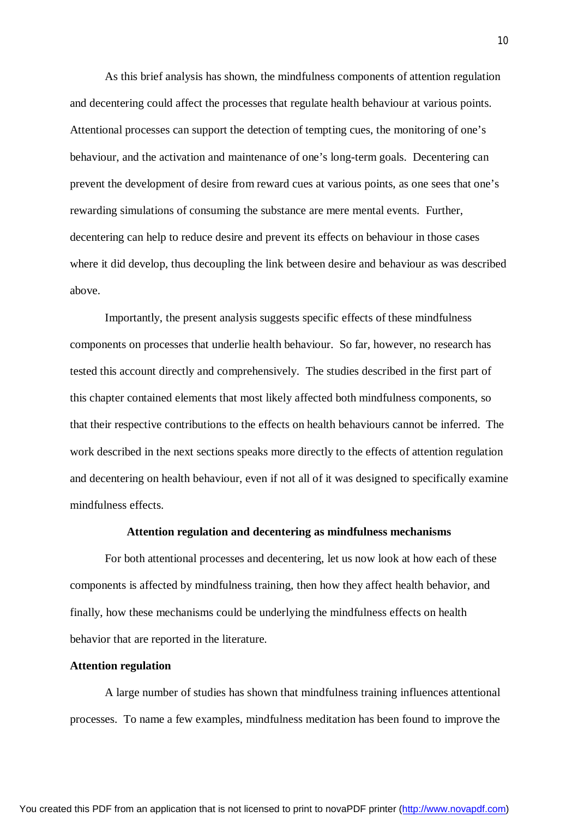As this brief analysis has shown, the mindfulness components of attention regulation and decentering could affect the processes that regulate health behaviour at various points. Attentional processes can support the detection of tempting cues, the monitoring of one's behaviour, and the activation and maintenance of one's long-term goals. Decentering can prevent the development of desire from reward cues at various points, as one sees that one's rewarding simulations of consuming the substance are mere mental events. Further, decentering can help to reduce desire and prevent its effects on behaviour in those cases where it did develop, thus decoupling the link between desire and behaviour as was described above.

Importantly, the present analysis suggests specific effects of these mindfulness components on processes that underlie health behaviour. So far, however, no research has tested this account directly and comprehensively. The studies described in the first part of this chapter contained elements that most likely affected both mindfulness components, so that their respective contributions to the effects on health behaviours cannot be inferred. The work described in the next sections speaks more directly to the effects of attention regulation and decentering on health behaviour, even if not all of it was designed to specifically examine mindfulness effects.

# **Attention regulation and decentering as mindfulness mechanisms**

For both attentional processes and decentering, let us now look at how each of these components is affected by mindfulness training, then how they affect health behavior, and finally, how these mechanisms could be underlying the mindfulness effects on health behavior that are reported in the literature.

## **Attention regulation**

A large number of studies has shown that mindfulness training influences attentional processes. To name a few examples, mindfulness meditation has been found to improve the

10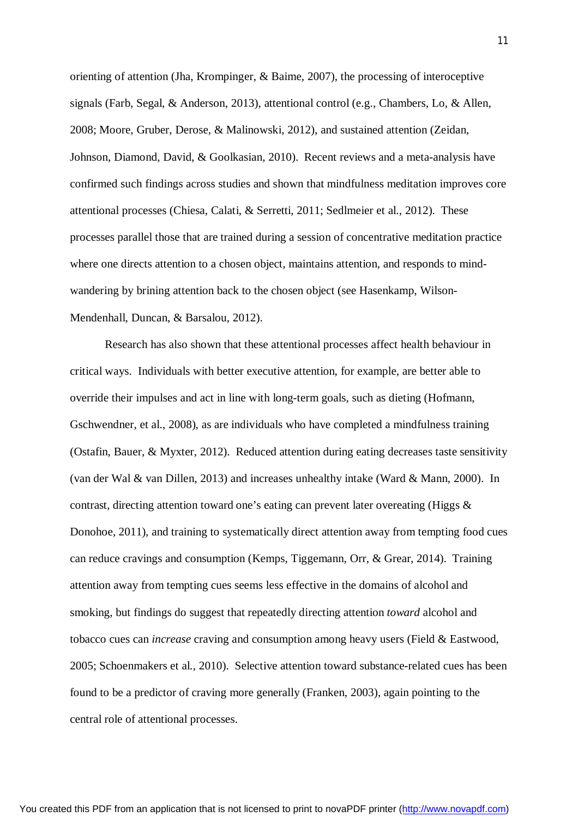orienting of attention (Jha, Krompinger, & Baime, 2007), the processing of interoceptive signals (Farb, Segal, & Anderson, 2013), attentional control (e.g., Chambers, Lo, & Allen, 2008; Moore, Gruber, Derose, & Malinowski, 2012), and sustained attention (Zeidan, Johnson, Diamond, David, & Goolkasian, 2010). Recent reviews and a meta-analysis have confirmed such findings across studies and shown that mindfulness meditation improves core attentional processes (Chiesa, Calati, & Serretti, 2011; Sedlmeier et al., 2012). These processes parallel those that are trained during a session of concentrative meditation practice where one directs attention to a chosen object, maintains attention, and responds to mindwandering by brining attention back to the chosen object (see Hasenkamp, Wilson-Mendenhall, Duncan, & Barsalou, 2012).

Research has also shown that these attentional processes affect health behaviour in critical ways. Individuals with better executive attention, for example, are better able to override their impulses and act in line with long-term goals, such as dieting (Hofmann, Gschwendner, et al., 2008), as are individuals who have completed a mindfulness training (Ostafin, Bauer, & Myxter, 2012). Reduced attention during eating decreases taste sensitivity (van der Wal & van Dillen, 2013) and increases unhealthy intake (Ward & Mann, 2000). In contrast, directing attention toward one's eating can prevent later overeating (Higgs & Donohoe, 2011), and training to systematically direct attention away from tempting food cues can reduce cravings and consumption (Kemps, Tiggemann, Orr, & Grear, 2014). Training attention away from tempting cues seems less effective in the domains of alcohol and smoking, but findings do suggest that repeatedly directing attention *toward* alcohol and tobacco cues can *increase* craving and consumption among heavy users (Field & Eastwood, 2005; Schoenmakers et al., 2010). Selective attention toward substance-related cues has been found to be a predictor of craving more generally (Franken, 2003), again pointing to the central role of attentional processes.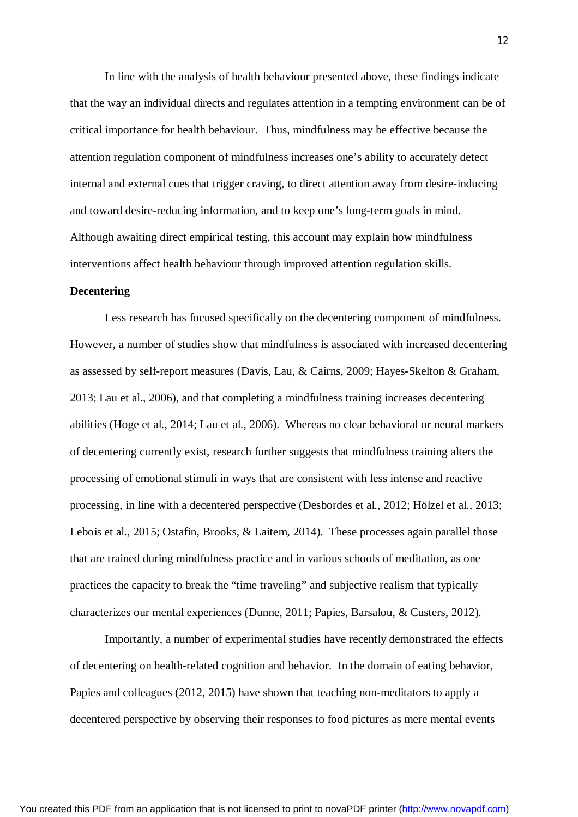In line with the analysis of health behaviour presented above, these findings indicate that the way an individual directs and regulates attention in a tempting environment can be of critical importance for health behaviour. Thus, mindfulness may be effective because the attention regulation component of mindfulness increases one's ability to accurately detect internal and external cues that trigger craving, to direct attention away from desire-inducing and toward desire-reducing information, and to keep one's long-term goals in mind. Although awaiting direct empirical testing, this account may explain how mindfulness interventions affect health behaviour through improved attention regulation skills.

# **Decentering**

Less research has focused specifically on the decentering component of mindfulness. However, a number of studies show that mindfulness is associated with increased decentering as assessed by self-report measures (Davis, Lau, & Cairns, 2009; Hayes-Skelton & Graham, 2013; Lau et al., 2006), and that completing a mindfulness training increases decentering abilities (Hoge et al., 2014; Lau et al., 2006). Whereas no clear behavioral or neural markers of decentering currently exist, research further suggests that mindfulness training alters the processing of emotional stimuli in ways that are consistent with less intense and reactive processing, in line with a decentered perspective (Desbordes et al., 2012; Hölzel et al., 2013; Lebois et al., 2015; Ostafin, Brooks, & Laitem, 2014). These processes again parallel those that are trained during mindfulness practice and in various schools of meditation, as one practices the capacity to break the "time traveling" and subjective realism that typically characterizes our mental experiences (Dunne, 2011; Papies, Barsalou, & Custers, 2012).

Importantly, a number of experimental studies have recently demonstrated the effects of decentering on health-related cognition and behavior. In the domain of eating behavior, Papies and colleagues (2012, 2015) have shown that teaching non-meditators to apply a decentered perspective by observing their responses to food pictures as mere mental events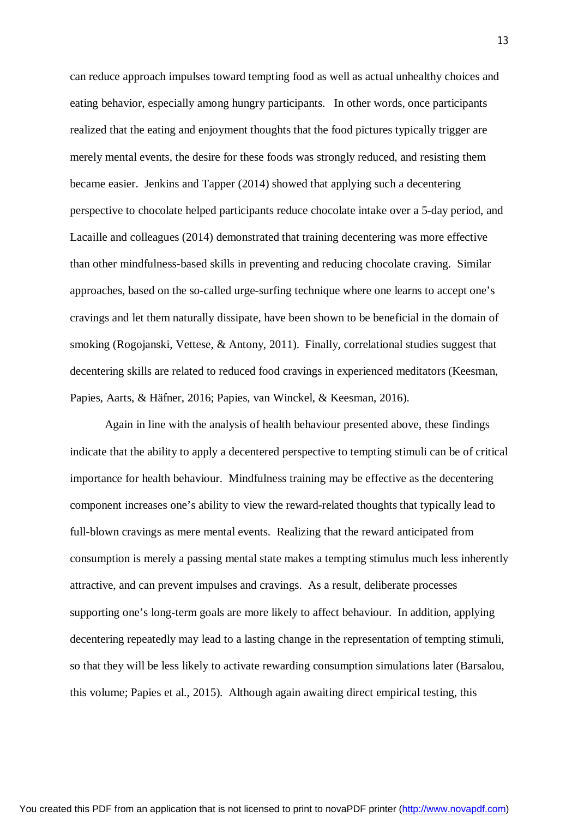can reduce approach impulses toward tempting food as well as actual unhealthy choices and eating behavior, especially among hungry participants. In other words, once participants realized that the eating and enjoyment thoughts that the food pictures typically trigger are merely mental events, the desire for these foods was strongly reduced, and resisting them became easier. Jenkins and Tapper (2014) showed that applying such a decentering perspective to chocolate helped participants reduce chocolate intake over a 5-day period, and Lacaille and colleagues (2014) demonstrated that training decentering was more effective than other mindfulness-based skills in preventing and reducing chocolate craving. Similar approaches, based on the so-called urge-surfing technique where one learns to accept one's cravings and let them naturally dissipate, have been shown to be beneficial in the domain of smoking (Rogojanski, Vettese, & Antony, 2011). Finally, correlational studies suggest that decentering skills are related to reduced food cravings in experienced meditators (Keesman, Papies, Aarts, & Häfner, 2016; Papies, van Winckel, & Keesman, 2016).

Again in line with the analysis of health behaviour presented above, these findings indicate that the ability to apply a decentered perspective to tempting stimuli can be of critical importance for health behaviour. Mindfulness training may be effective as the decentering component increases one's ability to view the reward-related thoughts that typically lead to full-blown cravings as mere mental events. Realizing that the reward anticipated from consumption is merely a passing mental state makes a tempting stimulus much less inherently attractive, and can prevent impulses and cravings. As a result, deliberate processes supporting one's long-term goals are more likely to affect behaviour. In addition, applying decentering repeatedly may lead to a lasting change in the representation of tempting stimuli, so that they will be less likely to activate rewarding consumption simulations later (Barsalou, this volume; Papies et al., 2015). Although again awaiting direct empirical testing, this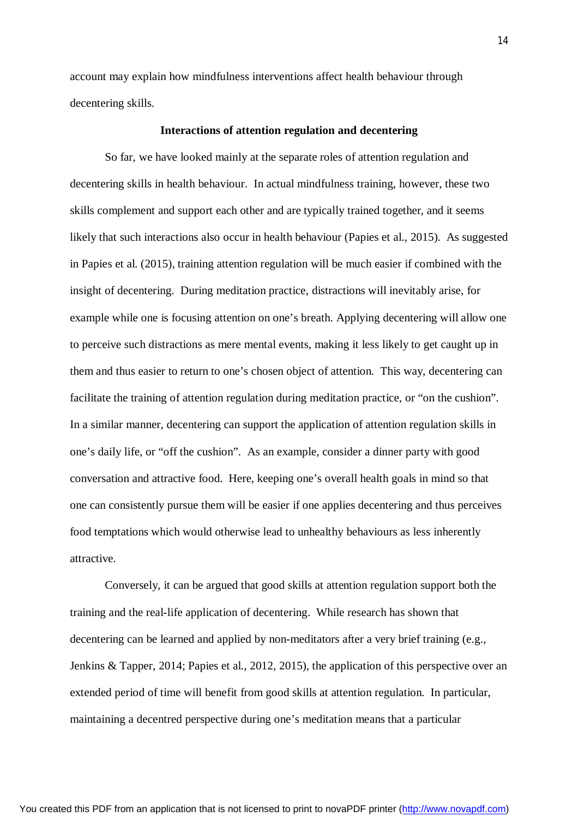account may explain how mindfulness interventions affect health behaviour through decentering skills.

#### **Interactions of attention regulation and decentering**

So far, we have looked mainly at the separate roles of attention regulation and decentering skills in health behaviour. In actual mindfulness training, however, these two skills complement and support each other and are typically trained together, and it seems likely that such interactions also occur in health behaviour (Papies et al., 2015). As suggested in Papies et al. (2015), training attention regulation will be much easier if combined with the insight of decentering. During meditation practice, distractions will inevitably arise, for example while one is focusing attention on one's breath. Applying decentering will allow one to perceive such distractions as mere mental events, making it less likely to get caught up in them and thus easier to return to one's chosen object of attention. This way, decentering can facilitate the training of attention regulation during meditation practice, or "on the cushion". In a similar manner, decentering can support the application of attention regulation skills in one's daily life, or "off the cushion". As an example, consider a dinner party with good conversation and attractive food. Here, keeping one's overall health goals in mind so that one can consistently pursue them will be easier if one applies decentering and thus perceives food temptations which would otherwise lead to unhealthy behaviours as less inherently attractive.

Conversely, it can be argued that good skills at attention regulation support both the training and the real-life application of decentering. While research has shown that decentering can be learned and applied by non-meditators after a very brief training (e.g., Jenkins & Tapper, 2014; Papies et al., 2012, 2015), the application of this perspective over an extended period of time will benefit from good skills at attention regulation. In particular, maintaining a decentred perspective during one's meditation means that a particular

14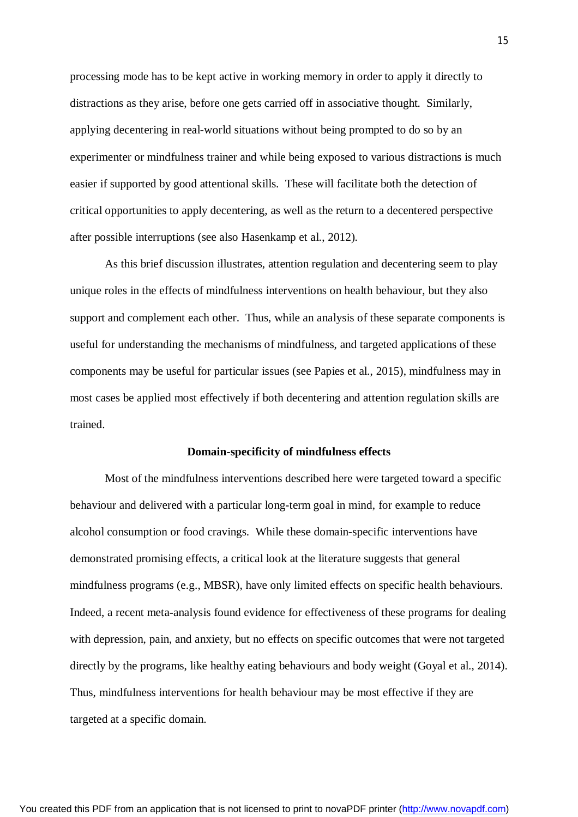processing mode has to be kept active in working memory in order to apply it directly to distractions as they arise, before one gets carried off in associative thought. Similarly, applying decentering in real-world situations without being prompted to do so by an experimenter or mindfulness trainer and while being exposed to various distractions is much easier if supported by good attentional skills. These will facilitate both the detection of critical opportunities to apply decentering, as well as the return to a decentered perspective after possible interruptions (see also Hasenkamp et al., 2012).

As this brief discussion illustrates, attention regulation and decentering seem to play unique roles in the effects of mindfulness interventions on health behaviour, but they also support and complement each other. Thus, while an analysis of these separate components is useful for understanding the mechanisms of mindfulness, and targeted applications of these components may be useful for particular issues (see Papies et al., 2015), mindfulness may in most cases be applied most effectively if both decentering and attention regulation skills are trained.

## **Domain-specificity of mindfulness effects**

Most of the mindfulness interventions described here were targeted toward a specific behaviour and delivered with a particular long-term goal in mind, for example to reduce alcohol consumption or food cravings. While these domain-specific interventions have demonstrated promising effects, a critical look at the literature suggests that general mindfulness programs (e.g., MBSR), have only limited effects on specific health behaviours. Indeed, a recent meta-analysis found evidence for effectiveness of these programs for dealing with depression, pain, and anxiety, but no effects on specific outcomes that were not targeted directly by the programs, like healthy eating behaviours and body weight (Goyal et al., 2014). Thus, mindfulness interventions for health behaviour may be most effective if they are targeted at a specific domain.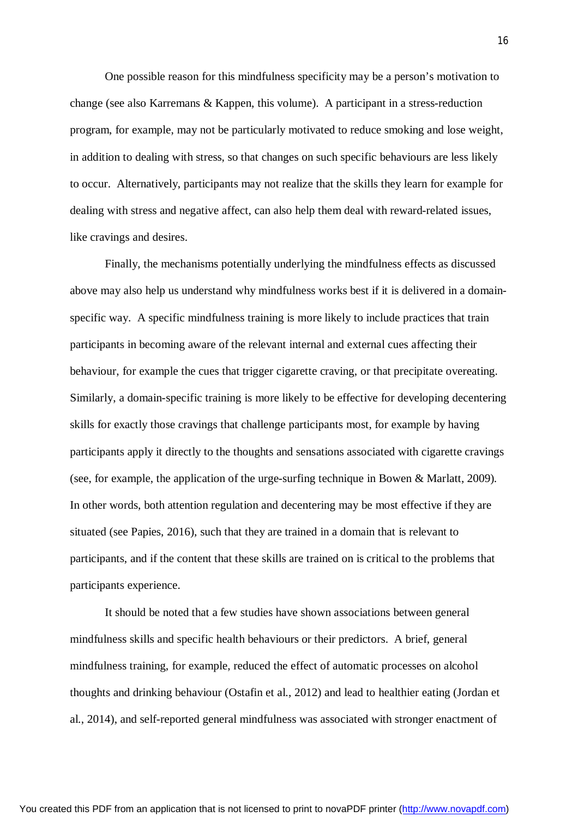One possible reason for this mindfulness specificity may be a person's motivation to change (see also Karremans & Kappen, this volume). A participant in a stress-reduction program, for example, may not be particularly motivated to reduce smoking and lose weight, in addition to dealing with stress, so that changes on such specific behaviours are less likely to occur. Alternatively, participants may not realize that the skills they learn for example for dealing with stress and negative affect, can also help them deal with reward-related issues, like cravings and desires.

Finally, the mechanisms potentially underlying the mindfulness effects as discussed above may also help us understand why mindfulness works best if it is delivered in a domainspecific way. A specific mindfulness training is more likely to include practices that train participants in becoming aware of the relevant internal and external cues affecting their behaviour, for example the cues that trigger cigarette craving, or that precipitate overeating. Similarly, a domain-specific training is more likely to be effective for developing decentering skills for exactly those cravings that challenge participants most, for example by having participants apply it directly to the thoughts and sensations associated with cigarette cravings (see, for example, the application of the urge-surfing technique in Bowen & Marlatt, 2009). In other words, both attention regulation and decentering may be most effective if they are situated (see Papies, 2016), such that they are trained in a domain that is relevant to participants, and if the content that these skills are trained on is critical to the problems that participants experience.

It should be noted that a few studies have shown associations between general mindfulness skills and specific health behaviours or their predictors. A brief, general mindfulness training, for example, reduced the effect of automatic processes on alcohol thoughts and drinking behaviour (Ostafin et al., 2012) and lead to healthier eating (Jordan et al., 2014), and self-reported general mindfulness was associated with stronger enactment of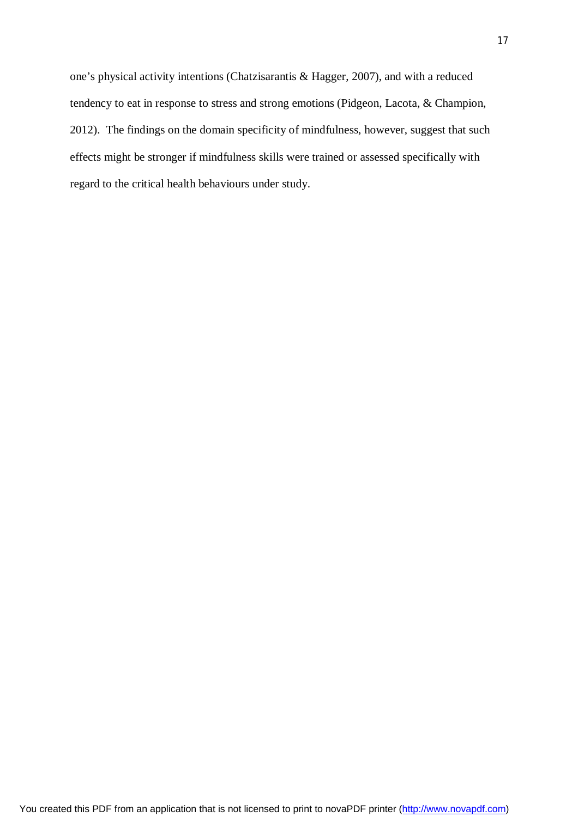one's physical activity intentions (Chatzisarantis & Hagger, 2007), and with a reduced tendency to eat in response to stress and strong emotions (Pidgeon, Lacota, & Champion, 2012). The findings on the domain specificity of mindfulness, however, suggest that such effects might be stronger if mindfulness skills were trained or assessed specifically with regard to the critical health behaviours under study.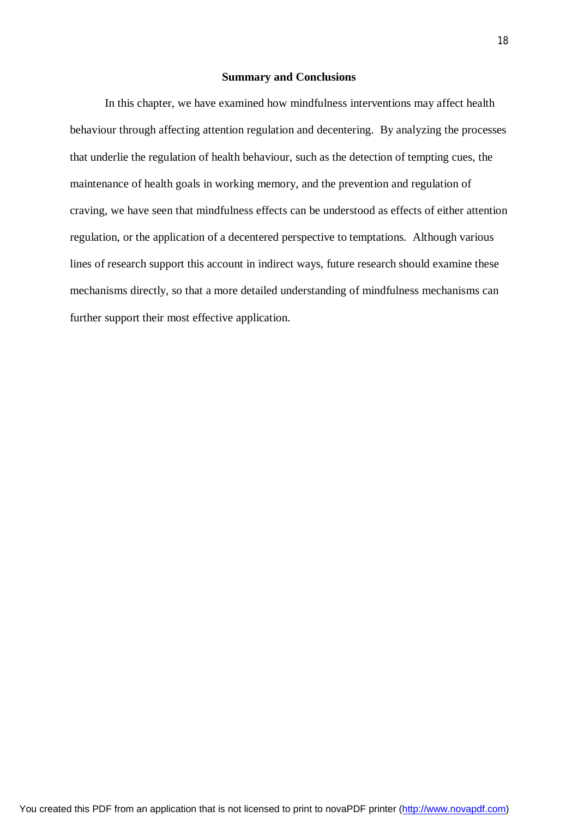## **Summary and Conclusions**

In this chapter, we have examined how mindfulness interventions may affect health behaviour through affecting attention regulation and decentering. By analyzing the processes that underlie the regulation of health behaviour, such as the detection of tempting cues, the maintenance of health goals in working memory, and the prevention and regulation of craving, we have seen that mindfulness effects can be understood as effects of either attention regulation, or the application of a decentered perspective to temptations. Although various lines of research support this account in indirect ways, future research should examine these mechanisms directly, so that a more detailed understanding of mindfulness mechanisms can further support their most effective application.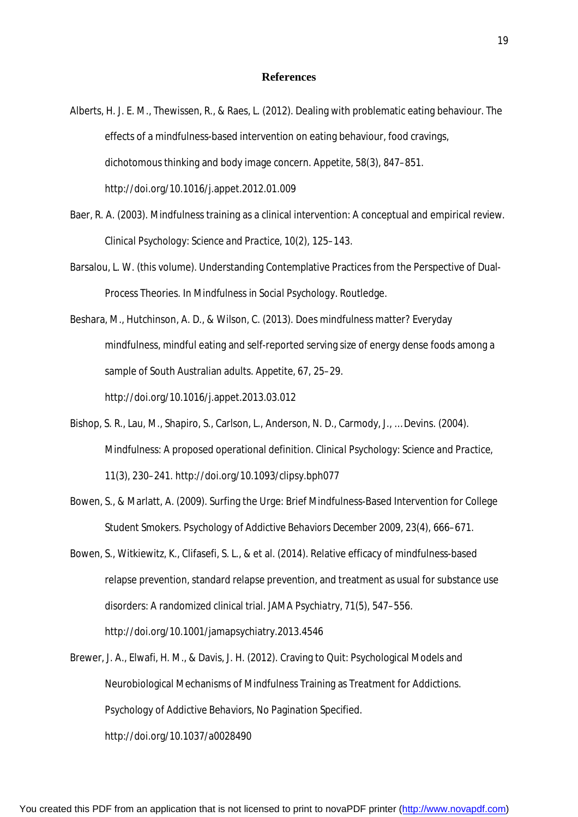## **References**

- Alberts, H. J. E. M., Thewissen, R., & Raes, L. (2012). Dealing with problematic eating behaviour. The effects of a mindfulness-based intervention on eating behaviour, food cravings, dichotomous thinking and body image concern. *Appetite*, *58*(3), 847–851. <http://doi.org/10.1016/j.appet.2012.01.009>
- Baer, R. A. (2003). Mindfulness training as a clinical intervention: A conceptual and empirical review. *Clinical Psychology: Science and Practice*, *10*(2), 125–143.
- Barsalou, L. W. (this volume). Understanding Contemplative Practices from the Perspective of Dual-Process Theories. In *Mindfulness in Social Psychology*. Routledge.
- Beshara, M., Hutchinson, A. D., & Wilson, C. (2013). Does mindfulness matter? Everyday mindfulness, mindful eating and self-reported serving size of energy dense foods among a sample of South Australian adults. *Appetite*, *67*, 25–29. <http://doi.org/10.1016/j.appet.2013.03.012>
- Bishop, S. R., Lau, M., Shapiro, S., Carlson, L., Anderson, N. D., Carmody, J., … Devins. (2004). Mindfulness: A proposed operational definition. *Clinical Psychology: Science and Practice*, *11*(3), 230–241.<http://doi.org/10.1093/clipsy.bph077>
- Bowen, S., & Marlatt, A. (2009). Surfing the Urge: Brief Mindfulness-Based Intervention for College Student Smokers. *Psychology of Addictive Behaviors December 2009*, *23*(4), 666–671.
- Bowen, S., Witkiewitz, K., Clifasefi, S. L., & et al. (2014). Relative efficacy of mindfulness-based relapse prevention, standard relapse prevention, and treatment as usual for substance use disorders: A randomized clinical trial. *JAMA Psychiatry*, *71*(5), 547–556. <http://doi.org/10.1001/jamapsychiatry.2013.4546>
- Brewer, J. A., Elwafi, H. M., & Davis, J. H. (2012). Craving to Quit: Psychological Models and Neurobiological Mechanisms of Mindfulness Training as Treatment for Addictions. *Psychology of Addictive Behaviors*, No Pagination Specified. <http://doi.org/10.1037/a0028490>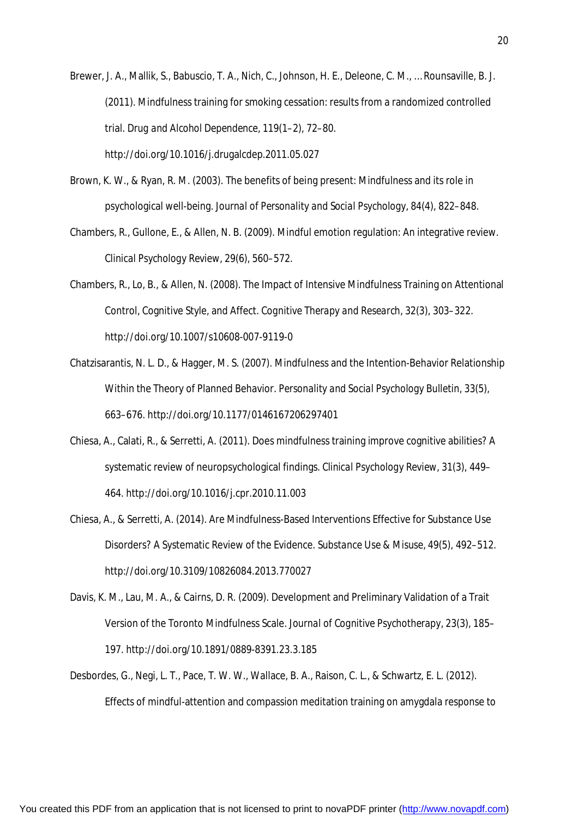Brewer, J. A., Mallik, S., Babuscio, T. A., Nich, C., Johnson, H. E., Deleone, C. M., … Rounsaville, B. J. (2011). Mindfulness training for smoking cessation: results from a randomized controlled trial. *Drug and Alcohol Dependence*, *119*(1–2), 72–80. <http://doi.org/10.1016/j.drugalcdep.2011.05.027>

- Brown, K. W., & Ryan, R. M. (2003). The benefits of being present: Mindfulness and its role in psychological well-being. *Journal of Personality and Social Psychology*, *84*(4), 822–848.
- Chambers, R., Gullone, E., & Allen, N. B. (2009). Mindful emotion regulation: An integrative review. *Clinical Psychology Review*, *29*(6), 560–572.
- Chambers, R., Lo, B., & Allen, N. (2008). The Impact of Intensive Mindfulness Training on Attentional Control, Cognitive Style, and Affect. *Cognitive Therapy and Research*, *32*(3), 303–322. <http://doi.org/10.1007/s10608-007-9119-0>
- Chatzisarantis, N. L. D., & Hagger, M. S. (2007). Mindfulness and the Intention-Behavior Relationship Within the Theory of Planned Behavior. *Personality and Social Psychology Bulletin*, *33*(5), 663–676.<http://doi.org/10.1177/0146167206297401>
- Chiesa, A., Calati, R., & Serretti, A. (2011). Does mindfulness training improve cognitive abilities? A systematic review of neuropsychological findings. *Clinical Psychology Review*, *31*(3), 449– 464. <http://doi.org/10.1016/j.cpr.2010.11.003>
- Chiesa, A., & Serretti, A. (2014). Are Mindfulness-Based Interventions Effective for Substance Use Disorders? A Systematic Review of the Evidence. *Substance Use & Misuse*, *49*(5), 492–512. <http://doi.org/10.3109/10826084.2013.770027>
- Davis, K. M., Lau, M. A., & Cairns, D. R. (2009). Development and Preliminary Validation of a Trait Version of the Toronto Mindfulness Scale. *Journal of Cognitive Psychotherapy*, *23*(3), 185– 197. <http://doi.org/10.1891/0889-8391.23.3.185>
- Desbordes, G., Negi, L. T., Pace, T. W. W., Wallace, B. A., Raison, C. L., & Schwartz, E. L. (2012). Effects of mindful-attention and compassion meditation training on amygdala response to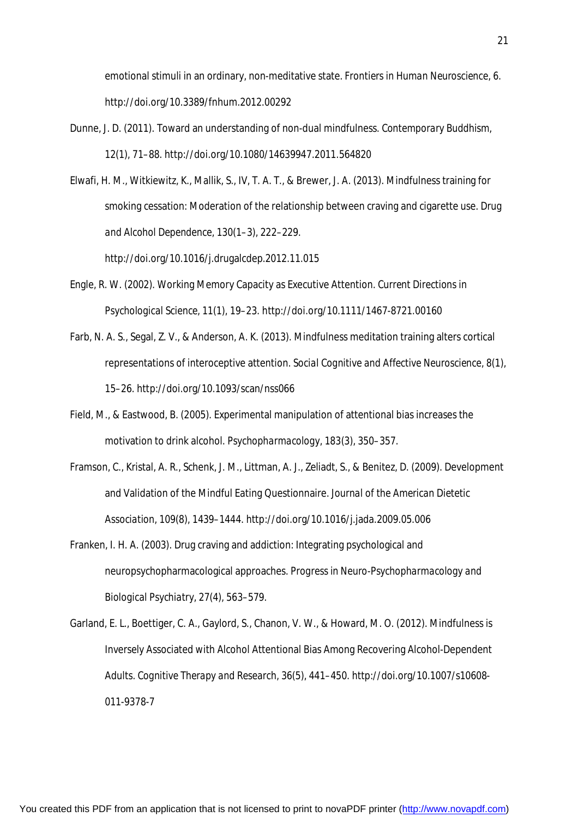emotional stimuli in an ordinary, non-meditative state. *Frontiers in Human Neuroscience*, *6*. <http://doi.org/10.3389/fnhum.2012.00292>

- Dunne, J. D. (2011). Toward an understanding of non-dual mindfulness. *Contemporary Buddhism*, *12*(1), 71–88.<http://doi.org/10.1080/14639947.2011.564820>
- Elwafi, H. M., Witkiewitz, K., Mallik, S., IV, T. A. T., & Brewer, J. A. (2013). Mindfulness training for smoking cessation: Moderation of the relationship between craving and cigarette use. *Drug and Alcohol Dependence*, *130*(1–3), 222–229.

<http://doi.org/10.1016/j.drugalcdep.2012.11.015>

- Engle, R. W. (2002). Working Memory Capacity as Executive Attention. *Current Directions in Psychological Science*, *11*(1), 19–23. <http://doi.org/10.1111/1467-8721.00160>
- Farb, N. A. S., Segal, Z. V., & Anderson, A. K. (2013). Mindfulness meditation training alters cortical representations of interoceptive attention. *Social Cognitive and Affective Neuroscience*, *8*(1), 15–26. <http://doi.org/10.1093/scan/nss066>
- Field, M., & Eastwood, B. (2005). Experimental manipulation of attentional bias increases the motivation to drink alcohol. *Psychopharmacology*, *183*(3), 350–357.
- Framson, C., Kristal, A. R., Schenk, J. M., Littman, A. J., Zeliadt, S., & Benitez, D. (2009). Development and Validation of the Mindful Eating Questionnaire. *Journal of the American Dietetic Association*, *109*(8), 1439–1444.<http://doi.org/10.1016/j.jada.2009.05.006>
- Franken, I. H. A. (2003). Drug craving and addiction: Integrating psychological and neuropsychopharmacological approaches. *Progress in Neuro-Psychopharmacology and Biological Psychiatry*, *27*(4), 563–579.

Garland, E. L., Boettiger, C. A., Gaylord, S., Chanon, V. W., & Howard, M. O. (2012). Mindfulness is Inversely Associated with Alcohol Attentional Bias Among Recovering Alcohol-Dependent Adults. *Cognitive Therapy and Research*, *36*(5), 441–450.<http://doi.org/10.1007/s10608-> 011-9378-7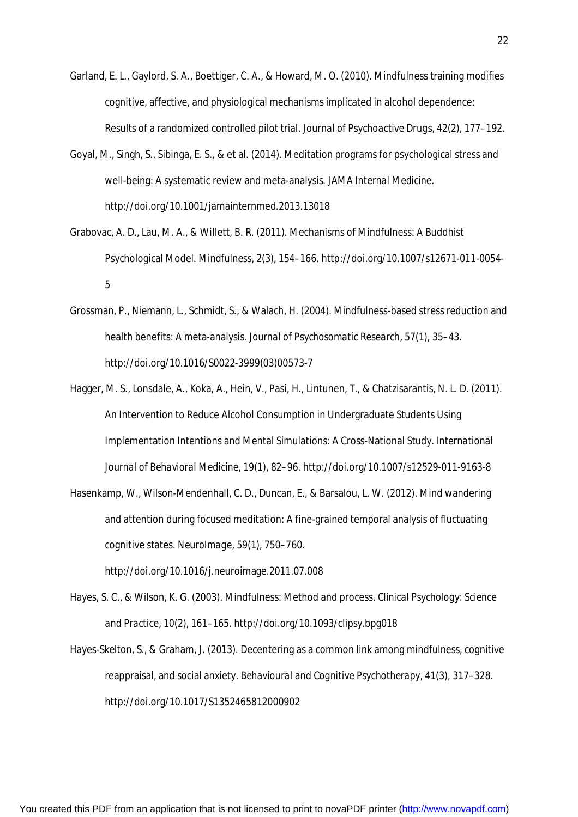Garland, E. L., Gaylord, S. A., Boettiger, C. A., & Howard, M. O. (2010). Mindfulness training modifies cognitive, affective, and physiological mechanisms implicated in alcohol dependence: Results of a randomized controlled pilot trial. *Journal of Psychoactive Drugs*, *42*(2), 177–192.

- Goyal, M., Singh, S., Sibinga, E. S., & et al. (2014). Meditation programs for psychological stress and well-being: A systematic review and meta-analysis. *JAMA Internal Medicine*. <http://doi.org/10.1001/jamainternmed.2013.13018>
- Grabovac, A. D., Lau, M. A., & Willett, B. R. (2011). Mechanisms of Mindfulness: A Buddhist Psychological Model. *Mindfulness*, *2*(3), 154–166.<http://doi.org/10.1007/s12671-011-0054-> 5
- Grossman, P., Niemann, L., Schmidt, S., & Walach, H. (2004). Mindfulness-based stress reduction and health benefits: A meta-analysis. *Journal of Psychosomatic Research*, *57*(1), 35–43. [http://doi.org/10.1016/S0022-3999\(03\)00573-7](http://doi.org/10.1016/S0022-3999(03)00573-7)
- Hagger, M. S., Lonsdale, A., Koka, A., Hein, V., Pasi, H., Lintunen, T., & Chatzisarantis, N. L. D. (2011). An Intervention to Reduce Alcohol Consumption in Undergraduate Students Using Implementation Intentions and Mental Simulations: A Cross-National Study. *International Journal of Behavioral Medicine*, *19*(1), 82–96.<http://doi.org/10.1007/s12529-011-9163-8>
- Hasenkamp, W., Wilson-Mendenhall, C. D., Duncan, E., & Barsalou, L. W. (2012). Mind wandering and attention during focused meditation: A fine-grained temporal analysis of fluctuating cognitive states. *NeuroImage*, *59*(1), 750–760. <http://doi.org/10.1016/j.neuroimage.2011.07.008>
- Hayes, S. C., & Wilson, K. G. (2003). Mindfulness: Method and process. *Clinical Psychology: Science and Practice*, *10*(2), 161–165.<http://doi.org/10.1093/clipsy.bpg018>
- Hayes-Skelton, S., & Graham, J. (2013). Decentering as a common link among mindfulness, cognitive reappraisal, and social anxiety. *Behavioural and Cognitive Psychotherapy*, *41*(3), 317–328. <http://doi.org/10.1017/S1352465812000902>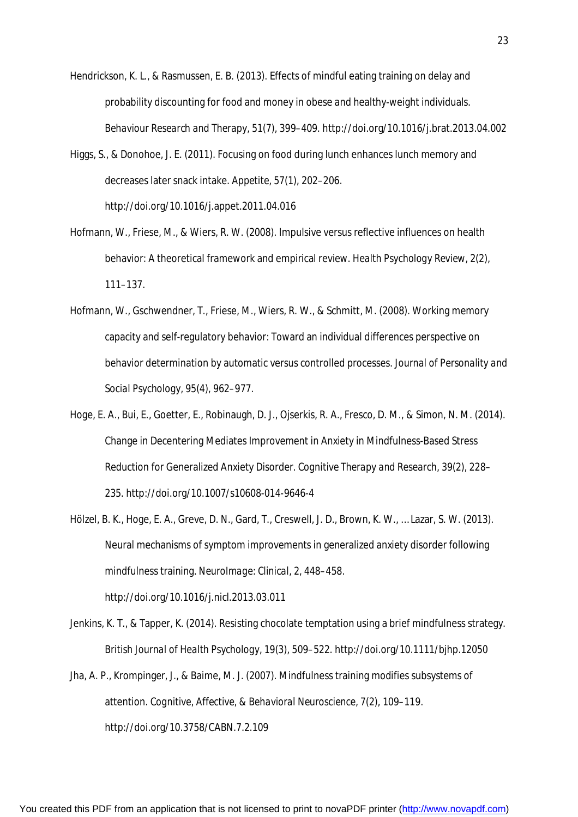Hendrickson, K. L., & Rasmussen, E. B. (2013). Effects of mindful eating training on delay and probability discounting for food and money in obese and healthy-weight individuals. *Behaviour Research and Therapy*, *51*(7), 399–409.<http://doi.org/10.1016/j.brat.2013.04.002>

- Higgs, S., & Donohoe, J. E. (2011). Focusing on food during lunch enhances lunch memory and decreases later snack intake. *Appetite*, *57*(1), 202–206. <http://doi.org/10.1016/j.appet.2011.04.016>
- Hofmann, W., Friese, M., & Wiers, R. W. (2008). Impulsive versus reflective influences on health behavior: A theoretical framework and empirical review. *Health Psychology Review*, *2*(2), 111–137.
- Hofmann, W., Gschwendner, T., Friese, M., Wiers, R. W., & Schmitt, M. (2008). Working memory capacity and self-regulatory behavior: Toward an individual differences perspective on behavior determination by automatic versus controlled processes. *Journal of Personality and Social Psychology*, *95*(4), 962–977.
- Hoge, E. A., Bui, E., Goetter, E., Robinaugh, D. J., Ojserkis, R. A., Fresco, D. M., & Simon, N. M. (2014). Change in Decentering Mediates Improvement in Anxiety in Mindfulness-Based Stress Reduction for Generalized Anxiety Disorder. *Cognitive Therapy and Research*, *39*(2), 228– 235. <http://doi.org/10.1007/s10608-014-9646-4>
- Hölzel, B. K., Hoge, E. A., Greve, D. N., Gard, T., Creswell, J. D., Brown, K. W., … Lazar, S. W. (2013). Neural mechanisms of symptom improvements in generalized anxiety disorder following mindfulness training. *NeuroImage: Clinical*, *2*, 448–458. <http://doi.org/10.1016/j.nicl.2013.03.011>
- Jenkins, K. T., & Tapper, K. (2014). Resisting chocolate temptation using a brief mindfulness strategy. *British Journal of Health Psychology*, *19*(3), 509–522. <http://doi.org/10.1111/bjhp.12050>
- Jha, A. P., Krompinger, J., & Baime, M. J. (2007). Mindfulness training modifies subsystems of attention. *Cognitive, Affective, & Behavioral Neuroscience*, *7*(2), 109–119. <http://doi.org/10.3758/CABN.7.2.109>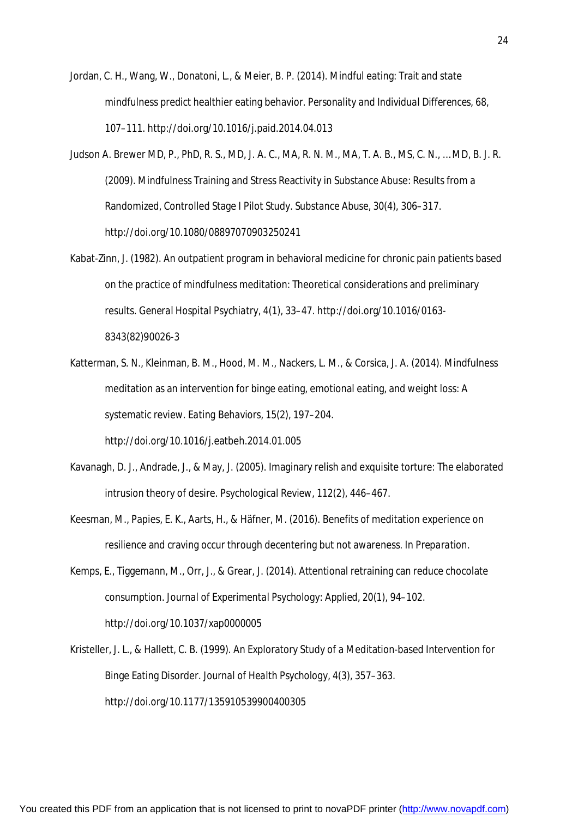- Jordan, C. H., Wang, W., Donatoni, L., & Meier, B. P. (2014). Mindful eating: Trait and state mindfulness predict healthier eating behavior. *Personality and Individual Differences*, *68*, 107–111.<http://doi.org/10.1016/j.paid.2014.04.013>
- Judson A. Brewer MD, P., PhD, R. S., MD, J. A. C., MA, R. N. M., MA, T. A. B., MS, C. N., … MD, B. J. R. (2009). Mindfulness Training and Stress Reactivity in Substance Abuse: Results from a Randomized, Controlled Stage I Pilot Study. *Substance Abuse*, *30*(4), 306–317. <http://doi.org/10.1080/08897070903250241>
- Kabat-Zinn, J. (1982). An outpatient program in behavioral medicine for chronic pain patients based on the practice of mindfulness meditation: Theoretical considerations and preliminary results. *General Hospital Psychiatry*, *4*(1), 33–47. <http://doi.org/10.1016/0163-> 8343(82)90026-3
- Katterman, S. N., Kleinman, B. M., Hood, M. M., Nackers, L. M., & Corsica, J. A. (2014). Mindfulness meditation as an intervention for binge eating, emotional eating, and weight loss: A systematic review. *Eating Behaviors*, *15*(2), 197–204.

<http://doi.org/10.1016/j.eatbeh.2014.01.005>

- Kavanagh, D. J., Andrade, J., & May, J. (2005). Imaginary relish and exquisite torture: The elaborated intrusion theory of desire. *Psychological Review*, *112*(2), 446–467.
- Keesman, M., Papies, E. K., Aarts, H., & Häfner, M. (2016). Benefits of meditation experience on resilience and craving occur through decentering but not awareness. *In Preparation*.
- Kemps, E., Tiggemann, M., Orr, J., & Grear, J. (2014). Attentional retraining can reduce chocolate consumption. *Journal of Experimental Psychology: Applied*, *20*(1), 94–102. <http://doi.org/10.1037/xap0000005>
- Kristeller, J. L., & Hallett, C. B. (1999). An Exploratory Study of a Meditation-based Intervention for Binge Eating Disorder. *Journal of Health Psychology*, *4*(3), 357–363. <http://doi.org/10.1177/135910539900400305>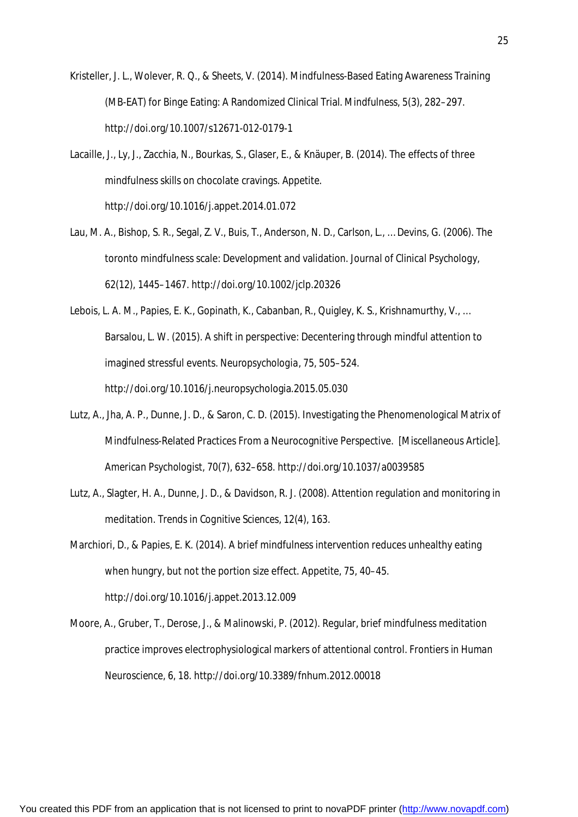- Kristeller, J. L., Wolever, R. Q., & Sheets, V. (2014). Mindfulness-Based Eating Awareness Training (MB-EAT) for Binge Eating: A Randomized Clinical Trial. *Mindfulness*, *5*(3), 282–297. <http://doi.org/10.1007/s12671-012-0179-1>
- Lacaille, J., Ly, J., Zacchia, N., Bourkas, S., Glaser, E., & Knäuper, B. (2014). The effects of three mindfulness skills on chocolate cravings. *Appetite*. <http://doi.org/10.1016/j.appet.2014.01.072>
- Lau, M. A., Bishop, S. R., Segal, Z. V., Buis, T., Anderson, N. D., Carlson, L., … Devins, G. (2006). The toronto mindfulness scale: Development and validation. *Journal of Clinical Psychology*, *62*(12), 1445–1467.<http://doi.org/10.1002/jclp.20326>
- Lebois, L. A. M., Papies, E. K., Gopinath, K., Cabanban, R., Quigley, K. S., Krishnamurthy, V., … Barsalou, L. W. (2015). A shift in perspective: Decentering through mindful attention to imagined stressful events. *Neuropsychologia*, *75*, 505–524. <http://doi.org/10.1016/j.neuropsychologia.2015.05.030>
- Lutz, A., Jha, A. P., Dunne, J. D., & Saron, C. D. (2015). Investigating the Phenomenological Matrix of Mindfulness-Related Practices From a Neurocognitive Perspective. [Miscellaneous Article]. *American Psychologist*, *70*(7), 632–658. <http://doi.org/10.1037/a0039585>
- Lutz, A., Slagter, H. A., Dunne, J. D., & Davidson, R. J. (2008). Attention regulation and monitoring in meditation. *Trends in Cognitive Sciences*, *12*(4), 163.
- Marchiori, D., & Papies, E. K. (2014). A brief mindfulness intervention reduces unhealthy eating when hungry, but not the portion size effect. *Appetite*, *75*, 40–45. <http://doi.org/10.1016/j.appet.2013.12.009>
- Moore, A., Gruber, T., Derose, J., & Malinowski, P. (2012). Regular, brief mindfulness meditation practice improves electrophysiological markers of attentional control. *Frontiers in Human Neuroscience*, *6*, 18. <http://doi.org/10.3389/fnhum.2012.00018>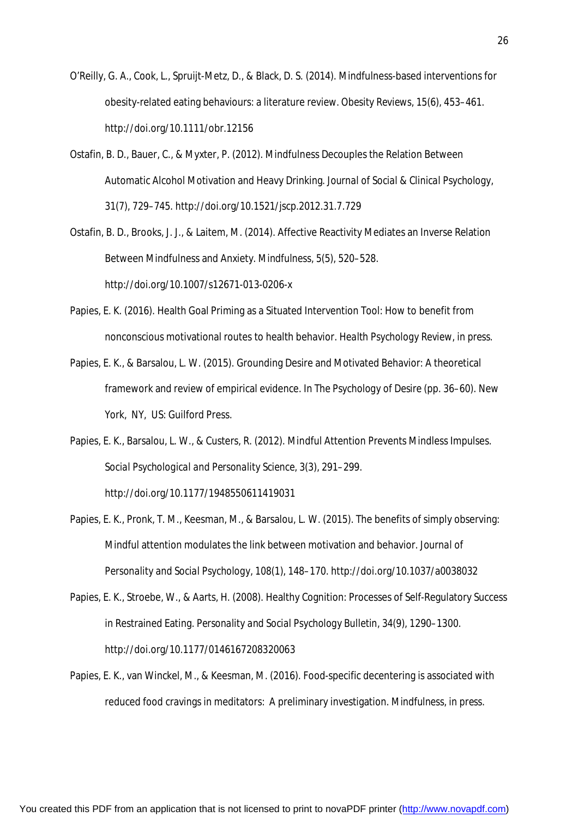- O'Reilly, G. A., Cook, L., Spruijt-Metz, D., & Black, D. S. (2014). Mindfulness-based interventions for obesity-related eating behaviours: a literature review. *Obesity Reviews*, *15*(6), 453–461. <http://doi.org/10.1111/obr.12156>
- Ostafin, B. D., Bauer, C., & Myxter, P. (2012). Mindfulness Decouples the Relation Between Automatic Alcohol Motivation and Heavy Drinking. *Journal of Social & Clinical Psychology*, *31*(7), 729–745.<http://doi.org/10.1521/jscp.2012.31.7.729>
- Ostafin, B. D., Brooks, J. J., & Laitem, M. (2014). Affective Reactivity Mediates an Inverse Relation Between Mindfulness and Anxiety. *Mindfulness*, *5*(5), 520–528. <http://doi.org/10.1007/s12671-013-0206-x>
- Papies, E. K. (2016). Health Goal Priming as a Situated Intervention Tool: How to benefit from nonconscious motivational routes to health behavior. *Health Psychology Review*, *in press*.
- Papies, E. K., & Barsalou, L. W. (2015). Grounding Desire and Motivated Behavior: A theoretical framework and review of empirical evidence. In *The Psychology of Desire* (pp. 36–60). New York, NY, US: Guilford Press.
- Papies, E. K., Barsalou, L. W., & Custers, R. (2012). Mindful Attention Prevents Mindless Impulses. *Social Psychological and Personality Science*, *3*(3), 291–299. <http://doi.org/10.1177/1948550611419031>
- Papies, E. K., Pronk, T. M., Keesman, M., & Barsalou, L. W. (2015). The benefits of simply observing: Mindful attention modulates the link between motivation and behavior. *Journal of Personality and Social Psychology*, *108*(1), 148–170. <http://doi.org/10.1037/a0038032>
- Papies, E. K., Stroebe, W., & Aarts, H. (2008). Healthy Cognition: Processes of Self-Regulatory Success in Restrained Eating. *Personality and Social Psychology Bulletin*, *34*(9), 1290–1300. <http://doi.org/10.1177/0146167208320063>
- Papies, E. K., van Winckel, M., & Keesman, M. (2016). Food-specific decentering is associated with reduced food cravings in meditators: A preliminary investigation. *Mindfulness*, *in press*.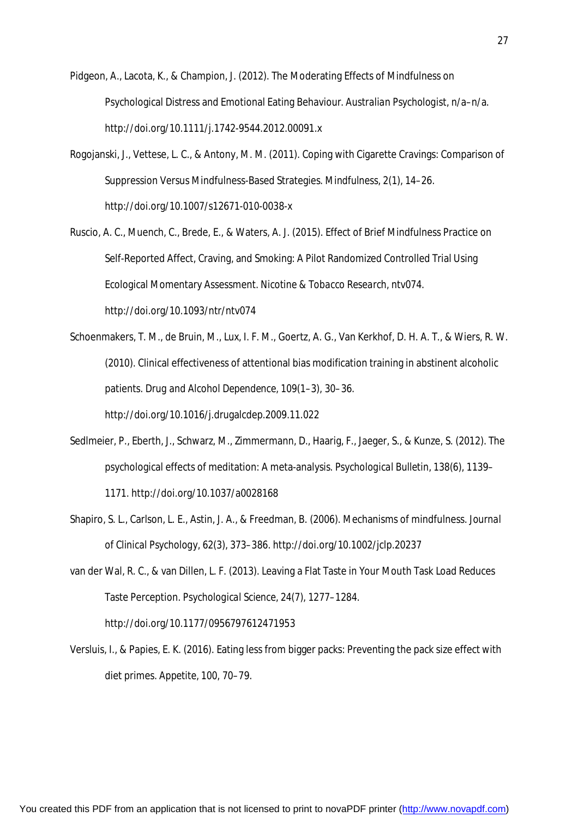Pidgeon, A., Lacota, K., & Champion, J. (2012). The Moderating Effects of Mindfulness on Psychological Distress and Emotional Eating Behaviour. *Australian Psychologist*, n/a–n/a. <http://doi.org/10.1111/j.1742-9544.2012.00091.x>

- Rogojanski, J., Vettese, L. C., & Antony, M. M. (2011). Coping with Cigarette Cravings: Comparison of Suppression Versus Mindfulness-Based Strategies. *Mindfulness*, *2*(1), 14–26. <http://doi.org/10.1007/s12671-010-0038-x>
- Ruscio, A. C., Muench, C., Brede, E., & Waters, A. J. (2015). Effect of Brief Mindfulness Practice on Self-Reported Affect, Craving, and Smoking: A Pilot Randomized Controlled Trial Using Ecological Momentary Assessment. *Nicotine & Tobacco Research*, ntv074. <http://doi.org/10.1093/ntr/ntv074>
- Schoenmakers, T. M., de Bruin, M., Lux, I. F. M., Goertz, A. G., Van Kerkhof, D. H. A. T., & Wiers, R. W. (2010). Clinical effectiveness of attentional bias modification training in abstinent alcoholic patients. *Drug and Alcohol Dependence*, *109*(1–3), 30–36. <http://doi.org/10.1016/j.drugalcdep.2009.11.022>
- Sedlmeier, P., Eberth, J., Schwarz, M., Zimmermann, D., Haarig, F., Jaeger, S., & Kunze, S. (2012). The psychological effects of meditation: A meta-analysis. *Psychological Bulletin*, *138*(6), 1139– 1171.<http://doi.org/10.1037/a0028168>
- Shapiro, S. L., Carlson, L. E., Astin, J. A., & Freedman, B. (2006). Mechanisms of mindfulness. *Journal of Clinical Psychology*, *62*(3), 373–386.<http://doi.org/10.1002/jclp.20237>
- van der Wal, R. C., & van Dillen, L. F. (2013). Leaving a Flat Taste in Your Mouth Task Load Reduces Taste Perception. *Psychological Science*, *24*(7), 1277–1284. <http://doi.org/10.1177/0956797612471953>
- Versluis, I., & Papies, E. K. (2016). Eating less from bigger packs: Preventing the pack size effect with diet primes. *Appetite*, *100*, 70–79.